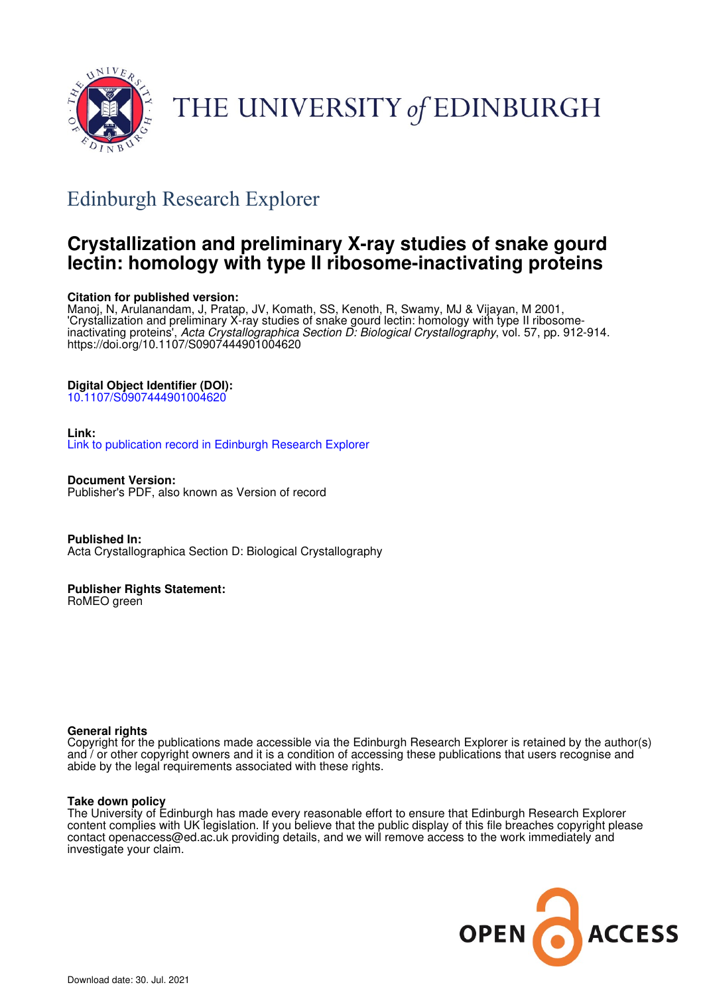

# THE UNIVERSITY of EDINBURGH

## Edinburgh Research Explorer

## **Crystallization and preliminary X-ray studies of snake gourd lectin: homology with type II ribosome-inactivating proteins**

#### **Citation for published version:**

Manoj, N, Arulanandam, J, Pratap, JV, Komath, SS, Kenoth, R, Swamy, MJ & Vijayan, M 2001, 'Crystallization and preliminary X-ray studies of snake gourd lectin: homology with type II ribosomeinactivating proteins', Acta Crystallographica Section D: Biological Crystallography, vol. 57, pp. 912-914. https://doi.org/10.1107/S0907444901004620

#### **Digital Object Identifier (DOI):**

10.1107/S0907444901004620

#### **Link:**

Link to publication record in Edinburgh Research Explorer

**Document Version:** Publisher's PDF, also known as Version of record

**Published In:** Acta Crystallographica Section D: Biological Crystallography

#### **Publisher Rights Statement:**

RoMEO green

#### **General rights**

Copyright for the publications made accessible via the Edinburgh Research Explorer is retained by the author(s) and / or other copyright owners and it is a condition of accessing these publications that users recognise and abide by the legal requirements associated with these rights.

#### **Take down policy**

The University of Edinburgh has made every reasonable effort to ensure that Edinburgh Research Explorer content complies with UK legislation. If you believe that the public display of this file breaches copyright please contact openaccess@ed.ac.uk providing details, and we will remove access to the work immediately and investigate your claim.

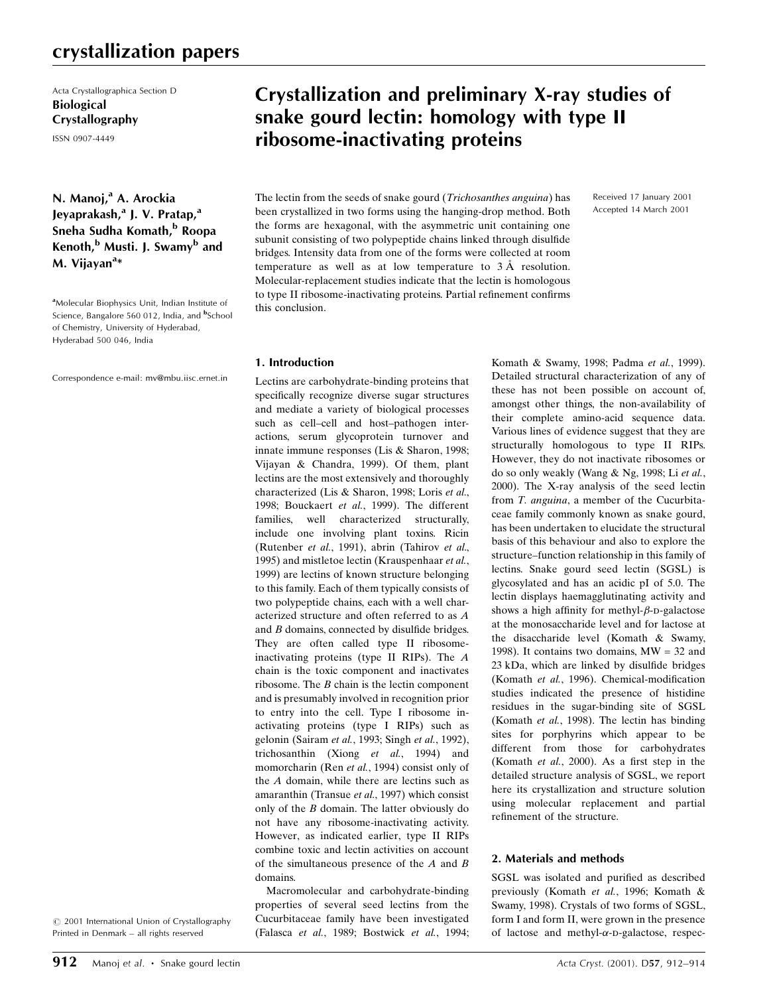### crystallization papers

Acta Crystallographica Section D Biological Crystallography

ISSN 0907-4449

N. Manoj,<sup>a</sup> A. Arockia Jeyaprakash,<sup>a</sup> J. V. Pratap,<sup>a</sup> Sneha Sudha Komath,<sup>b</sup> Roopa Kenoth,<sup>b</sup> Musti. J. Swamy<sup>b</sup> and M. Vijayan<sup>a</sup>\*

<sup>a</sup>Molecular Biophysics Unit, Indian Institute of Science, Bangalore 560 012, India, and <sup>b</sup>School of Chemistry, University of Hyderabad, Hyderabad 500 046, India

Correspondence e-mail: mv@mbu.iisc.ernet.in

 $©$  2001 International Union of Crystallography Printed in Denmark - all rights reserved

## Crystallization and preliminary X-ray studies of snake gourd lectin: homology with type II ribosome-inactivating proteins

The lectin from the seeds of snake gourd (Trichosanthes anguina) has been crystallized in two forms using the hanging-drop method. Both the forms are hexagonal, with the asymmetric unit containing one subunit consisting of two polypeptide chains linked through disulfide bridges. Intensity data from one of the forms were collected at room temperature as well as at low temperature to  $3 \text{ Å}$  resolution. Molecular-replacement studies indicate that the lectin is homologous to type II ribosome-inactivating proteins. Partial refinement confirms this conclusion.

#### 1. Introduction

Lectins are carbohydrate-binding proteins that specifically recognize diverse sugar structures and mediate a variety of biological processes such as cell-cell and host-pathogen interactions, serum glycoprotein turnover and innate immune responses (Lis & Sharon, 1998; Vijayan & Chandra, 1999). Of them, plant lectins are the most extensively and thoroughly characterized (Lis & Sharon, 1998; Loris et al., 1998; Bouckaert et al., 1999). The different families, well characterized structurally, include one involving plant toxins. Ricin (Rutenber et al., 1991), abrin (Tahirov et al., 1995) and mistletoe lectin (Krauspenhaar et al., 1999) are lectins of known structure belonging to this family. Each of them typically consists of two polypeptide chains, each with a well characterized structure and often referred to as A and  $B$  domains, connected by disulfide bridges. They are often called type II ribosomeinactivating proteins (type II RIPs). The A chain is the toxic component and inactivates ribosome. The B chain is the lectin component and is presumably involved in recognition prior to entry into the cell. Type I ribosome inactivating proteins (type I RIPs) such as gelonin (Sairam et al., 1993; Singh et al., 1992), trichosanthin (Xiong et al., 1994) and momorcharin (Ren et al., 1994) consist only of the A domain, while there are lectins such as amaranthin (Transue et al., 1997) which consist only of the B domain. The latter obviously do not have any ribosome-inactivating activity. However, as indicated earlier, type II RIPs combine toxic and lectin activities on account of the simultaneous presence of the  $A$  and  $B$ domains.

Macromolecular and carbohydrate-binding properties of several seed lectins from the Cucurbitaceae family have been investigated (Falasca et al., 1989; Bostwick et al., 1994;

Komath & Swamy, 1998; Padma et al., 1999). Detailed structural characterization of any of these has not been possible on account of, amongst other things, the non-availability of their complete amino-acid sequence data. Various lines of evidence suggest that they are structurally homologous to type II RIPs. However, they do not inactivate ribosomes or do so only weakly (Wang & Ng, 1998; Li et al., 2000). The X-ray analysis of the seed lectin from T. anguina, a member of the Cucurbitaceae family commonly known as snake gourd, has been undertaken to elucidate the structural basis of this behaviour and also to explore the structure-function relationship in this family of lectins. Snake gourd seed lectin (SGSL) is glycosylated and has an acidic pI of 5.0. The lectin displays haemagglutinating activity and shows a high affinity for methyl- $\beta$ -p-galactose at the monosaccharide level and for lactose at the disaccharide level (Komath & Swamy, 1998). It contains two domains,  $MW = 32$  and  $23$  kDa, which are linked by disulfide bridges (Komath et al., 1996). Chemical-modification studies indicated the presence of histidine residues in the sugar-binding site of SGSL (Komath et al., 1998). The lectin has binding sites for porphyrins which appear to be different from those for carbohydrates (Komath et al., 2000). As a first step in the detailed structure analysis of SGSL, we report here its crystallization and structure solution using molecular replacement and partial refinement of the structure.

Received 17 January 2001 Accepted 14 March 2001

#### 2. Materials and methods

SGSL was isolated and purified as described previously (Komath et al., 1996; Komath & Swamy, 1998). Crystals of two forms of SGSL, form I and form II, were grown in the presence of lactose and methyl- $\alpha$ -D-galactose, respec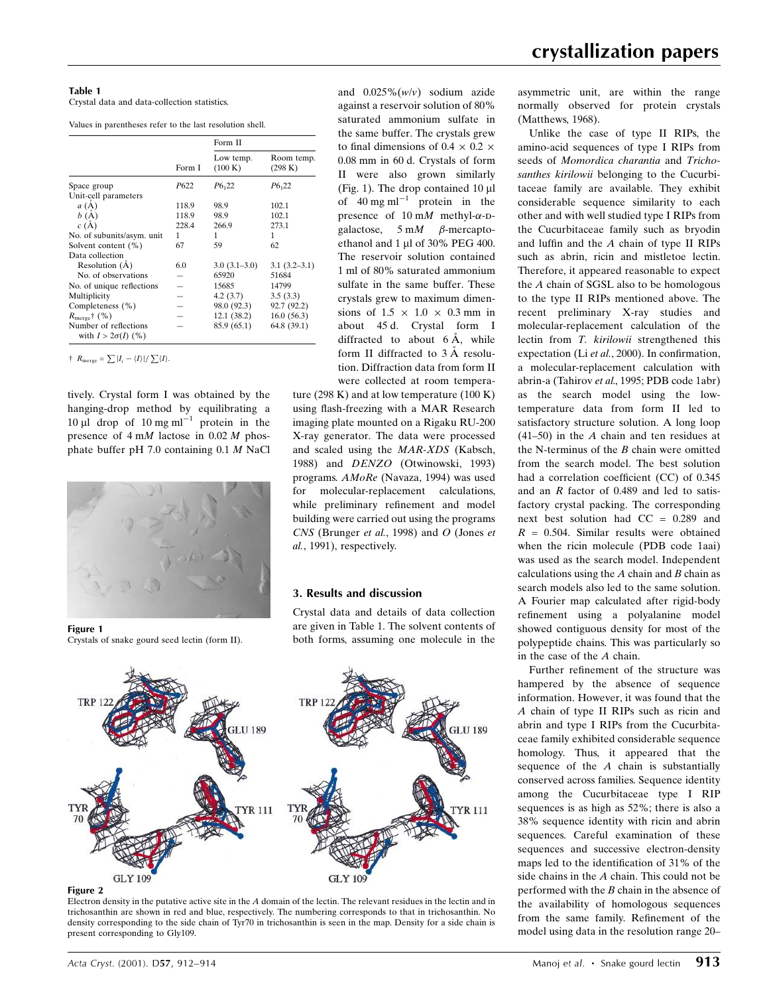Crystal data and data-collection statistics.

Values in parentheses refer to the last resolution shell.

|                                                    |        | Form II              |                       |
|----------------------------------------------------|--------|----------------------|-----------------------|
|                                                    | Form I | Low temp.<br>(100 K) | Room temp.<br>(298 K) |
| Space group                                        | P622   | $P6_{1}22$           | $P6_{1}22$            |
| Unit-cell parameters                               |        |                      |                       |
| a(A)                                               | 118.9  | 98.9                 | 102.1                 |
| b(A)                                               | 118.9  | 98.9                 | 102.1                 |
| c(A)                                               | 228.4  | 266.9                | 273.1                 |
| No. of subunits/asym. unit                         | 1      | 1                    | 1                     |
| Solvent content (%)                                | 67     | 59                   | 62                    |
| Data collection                                    |        |                      |                       |
| Resolution (A)                                     | 6.0    | $3.0(3.1-3.0)$       | $3.1(3.2-3.1)$        |
| No. of observations                                |        | 65920                | 51684                 |
| No. of unique reflections                          |        | 15685                | 14799                 |
| Multiplicity                                       |        | 4.2(3.7)             | 3.5(3.3)              |
| Completeness (%)                                   |        | 98.0 (92.3)          | 92.7 (92.2)           |
| $R_{\text{merge}}$ † (%)                           |        | 12.1(38.2)           | 16.0(56.3)            |
| Number of reflections<br>with $I > 2\sigma(I)$ (%) |        | 85.9 (65.1)          | 64.8 (39.1)           |

 $\uparrow$   $R_{\text{merge}} = \sum |I_i - \langle I \rangle| / \sum \langle I \rangle$ .

tively. Crystal form I was obtained by the hanging-drop method by equilibrating a 10  $\mu$ l drop of 10 mg ml<sup>-1</sup> protein in the presence of 4 mM lactose in 0.02 M phosphate buffer pH 7.0 containing 0.1 M NaCl



Figure 1 Crystals of snake gourd seed lectin (form II).



ture (298 K) and at low temperature (100 K) using flash-freezing with a MAR Research imaging plate mounted on a Rigaku RU-200 X-ray generator. The data were processed and scaled using the MAR-XDS (Kabsch, 1988) and DENZO (Otwinowski, 1993) programs. AMoRe (Navaza, 1994) was used for molecular-replacement calculations, while preliminary refinement and model building were carried out using the programs CNS (Brunger et al., 1998) and O (Jones et al., 1991), respectively.

#### 3. Results and discussion

Crystal data and details of data collection are given in Table 1. The solvent contents of both forms, assuming one molecule in the



Figure 2

Electron density in the putative active site in the A domain of the lectin. The relevant residues in the lectin and in trichosanthin are shown in red and blue, respectively. The numbering corresponds to that in trichosanthin. No density corresponding to the side chain of Tyr70 in trichosanthin is seen in the map. Density for a side chain is present corresponding to Gly109.

asymmetric unit, are within the range normally observed for protein crystals (Matthews, 1968).

Unlike the case of type II RIPs, the amino-acid sequences of type I RIPs from seeds of Momordica charantia and Trichosanthes kirilowii belonging to the Cucurbitaceae family are available. They exhibit considerable sequence similarity to each other and with well studied type I RIPs from the Cucurbitaceae family such as bryodin and luffin and the  $A$  chain of type II RIPs such as abrin, ricin and mistletoe lectin. Therefore, it appeared reasonable to expect the A chain of SGSL also to be homologous to the type II RIPs mentioned above. The recent preliminary X-ray studies and molecular-replacement calculation of the lectin from T. kirilowii strengthened this expectation (Li  $et$  al., 2000). In confirmation, a molecular-replacement calculation with abrin-a (Tahirov et al., 1995; PDB code 1abr) as the search model using the lowtemperature data from form II led to satisfactory structure solution. A long loop (41-50) in the  $A$  chain and ten residues at the N-terminus of the  $B$  chain were omitted from the search model. The best solution had a correlation coefficient (CC) of  $0.345$ and an  $R$  factor of 0.489 and led to satisfactory crystal packing. The corresponding next best solution had CC = 0.289 and  $R = 0.504$ . Similar results were obtained when the ricin molecule (PDB code 1aai) was used as the search model. Independent calculations using the  $A$  chain and  $B$  chain as search models also led to the same solution. A Fourier map calculated after rigid-body refinement using a polyalanine model showed contiguous density for most of the polypeptide chains. This was particularly so in the case of the A chain.

Further refinement of the structure was hampered by the absence of sequence information. However, it was found that the A chain of type II RIPs such as ricin and abrin and type I RIPs from the Cucurbitaceae family exhibited considerable sequence homology. Thus, it appeared that the sequence of the  $A$  chain is substantially conserved across families. Sequence identity among the Cucurbitaceae type I RIP sequences is as high as 52%; there is also a 38% sequence identity with ricin and abrin sequences. Careful examination of these sequences and successive electron-density maps led to the identification of 31% of the side chains in the A chain. This could not be performed with the B chain in the absence of the availability of homologous sequences from the same family. Refinement of the model using data in the resolution range 20